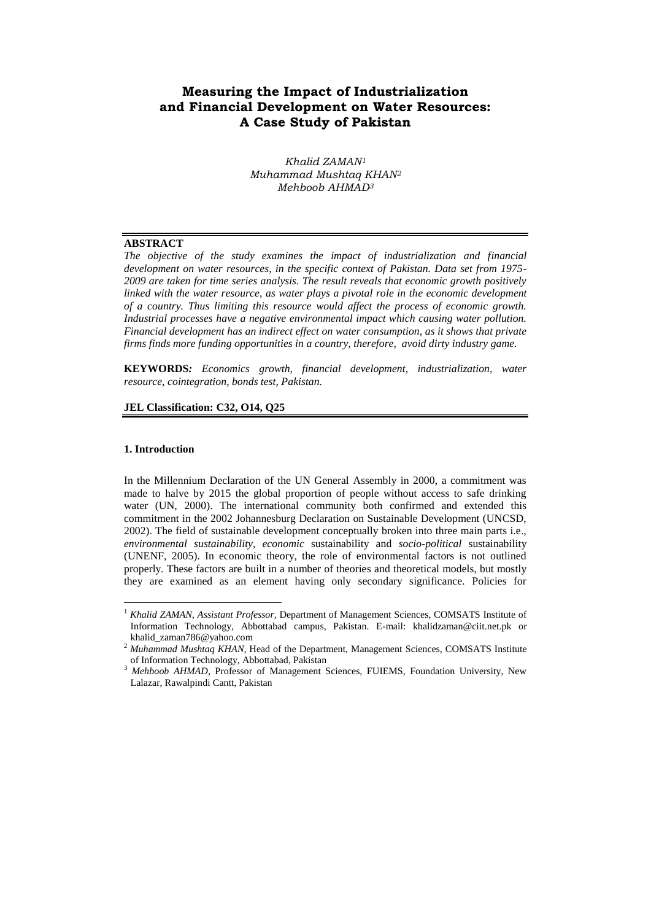# **Measuring the Impact of Industrialization and Financial Development on Water Resources: A Case Study of Pakistan**

*Khalid ZAMAN<sup>1</sup> Muhammad Mushtaq KHAN<sup>2</sup> Mehboob AHMAD<sup>3</sup>*

#### **ABSTRACT**

*The objective of the study examines the impact of industrialization and financial development on water resources, in the specific context of Pakistan. Data set from 1975- 2009 are taken for time series analysis. The result reveals that economic growth positively*  linked with the water resource, as water plays a pivotal role in the economic development *of a country. Thus limiting this resource would affect the process of economic growth. Industrial processes have a negative environmental impact which causing water pollution. Financial development has an indirect effect on water consumption, as it shows that private firms finds more funding opportunities in a country, therefore, avoid dirty industry game.*

**KEYWORDS***: Economics growth, financial development, industrialization, water resource, cointegration, bonds test, Pakistan.*

#### **JEL Classification: C32, O14, Q25**

### **1. Introduction**

 $\overline{a}$ 

In the Millennium Declaration of the UN General Assembly in 2000, a commitment was made to halve by 2015 the global proportion of people without access to safe drinking water (UN, 2000). The international community both confirmed and extended this commitment in the 2002 Johannesburg Declaration on Sustainable Development (UNCSD, 2002). The field of sustainable development conceptually broken into three main parts i.e., *[environmental](http://en.wikipedia.org/wiki/Environment_%28biophysical%29) [sustainability,](http://en.wikipedia.org/wiki/Sustainability) [economic](http://en.wikipedia.org/wiki/Economics)* sustainability and *[socio-political](http://en.wikipedia.org/wiki/Society)* sustainability (UNENF, 2005). In economic theory, the role of environmental factors is not outlined properly. These factors are built in a number of theories and theoretical models, but mostly they are examined as an element having only secondary significance. Policies for

<sup>1</sup> *Khalid ZAMAN, Assistant Professor,* Department of Management Sciences, COMSATS Institute of Information Technology, Abbottabad campus, Pakistan. E-mail: khalidzaman@ciit.net.pk or khalid\_zaman786@yahoo.com

<sup>&</sup>lt;sup>2</sup> Muhammad Mushtaq KHAN, Head of the Department, Management Sciences, COMSATS Institute of Information Technology, Abbottabad, Pakistan

<sup>3</sup> *Mehboob AHMAD,* Professor of Management Sciences, FUIEMS, Foundation University, New Lalazar, Rawalpindi Cantt, Pakistan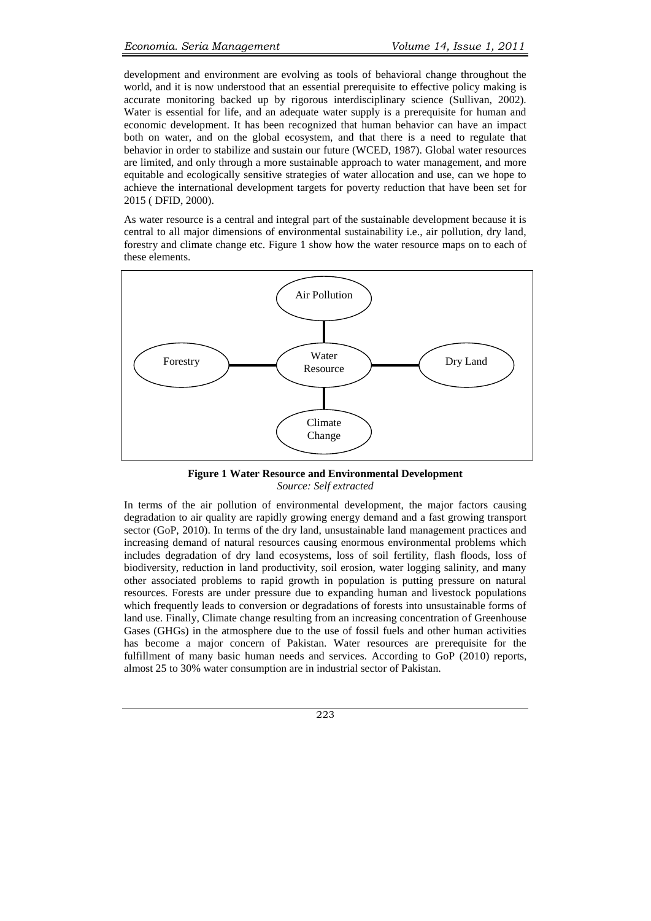development and environment are evolving as tools of behavioral change throughout the world, and it is now understood that an essential prerequisite to effective policy making is accurate monitoring backed up by rigorous interdisciplinary science (Sullivan, 2002). Water is essential for life, and an adequate water supply is a prerequisite for human and economic development. It has been recognized that human behavior can have an impact both on water, and on the global ecosystem, and that there is a need to regulate that behavior in order to stabilize and sustain our future (WCED, 1987). Global water resources are limited, and only through a more sustainable approach to water management, and more equitable and ecologically sensitive strategies of water allocation and use, can we hope to achieve the international development targets for poverty reduction that have been set for 2015 ( DFID, 2000).

As water resource is a central and integral part of the sustainable development because it is central to all major dimensions of environmental sustainability i.e., air pollution, dry land, forestry and climate change etc. Figure 1 show how the water resource maps on to each of these elements.



**Figure 1 Water Resource and Environmental Development** *Source: Self extracted*

In terms of the air pollution of environmental development, the major factors causing degradation to air quality are rapidly growing energy demand and a fast growing transport sector (GoP, 2010). In terms of the dry land, unsustainable land management practices and increasing demand of natural resources causing enormous environmental problems which includes degradation of dry land ecosystems, loss of soil fertility, flash floods, loss of biodiversity, reduction in land productivity, soil erosion, water logging salinity, and many other associated problems to rapid growth in population is putting pressure on natural resources. Forests are under pressure due to expanding human and livestock populations which frequently leads to conversion or degradations of forests into unsustainable forms of land use. Finally, Climate change resulting from an increasing concentration of Greenhouse Gases (GHGs) in the atmosphere due to the use of fossil fuels and other human activities has become a major concern of Pakistan. Water resources are prerequisite for the fulfillment of many basic human needs and services. According to GoP (2010) reports, almost 25 to 30% water consumption are in industrial sector of Pakistan.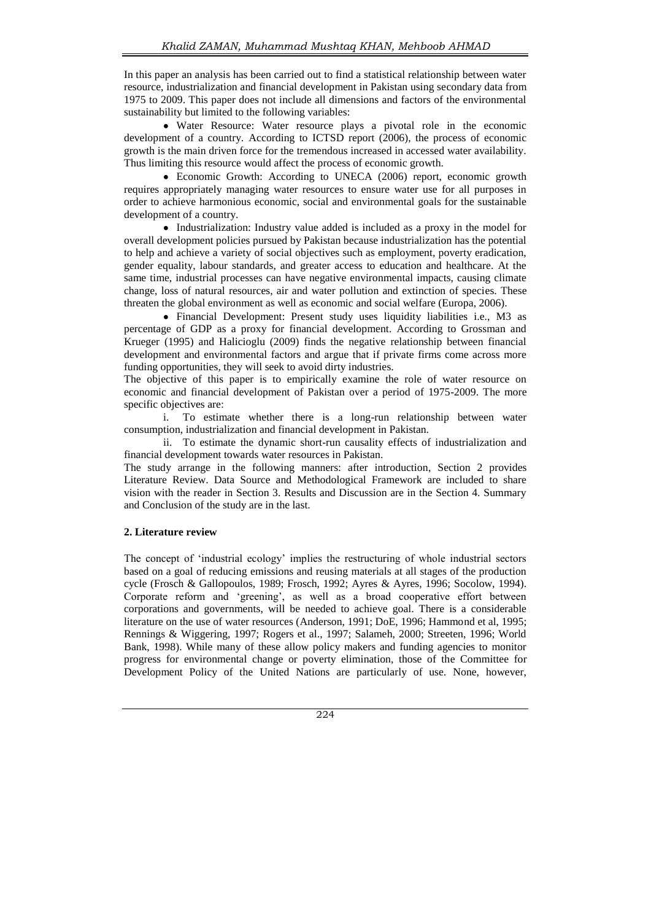In this paper an analysis has been carried out to find a statistical relationship between water resource, industrialization and financial development in Pakistan using secondary data from 1975 to 2009. This paper does not include all dimensions and factors of the environmental sustainability but limited to the following variables:

Water Resource: Water resource plays a pivotal role in the economic development of a country. According to ICTSD report (2006), the process of economic growth is the main driven force for the tremendous increased in accessed water availability. Thus limiting this resource would affect the process of economic growth.

• Economic Growth: According to UNECA (2006) report, economic growth requires appropriately managing water resources to ensure water use for all purposes in order to achieve harmonious economic, social and environmental goals for the sustainable development of a country.

• Industrialization: Industry value added is included as a proxy in the model for overall development policies pursued by Pakistan because industrialization has the potential to help and achieve a variety of social objectives such as employment, poverty eradication, gender equality, labour standards, and greater access to education and healthcare. At the same time, industrial processes can have negative environmental impacts, causing climate change, loss of natural resources, air and water pollution and extinction of species. These threaten the global environment as well as economic and social welfare (Europa, 2006).

Financial Development: Present study uses liquidity liabilities i.e., M3 as percentage of GDP as a proxy for financial development. According to Grossman and Krueger (1995) and Halicioglu (2009) finds the negative relationship between financial development and environmental factors and argue that if private firms come across more funding opportunities, they will seek to avoid dirty industries.

The objective of this paper is to empirically examine the role of water resource on economic and financial development of Pakistan over a period of 1975-2009. The more specific objectives are:

i. To estimate whether there is a long-run relationship between water consumption, industrialization and financial development in Pakistan.

ii. To estimate the dynamic short-run causality effects of industrialization and financial development towards water resources in Pakistan.

The study arrange in the following manners: after introduction, Section 2 provides Literature Review. Data Source and Methodological Framework are included to share vision with the reader in Section 3. Results and Discussion are in the Section 4. Summary and Conclusion of the study are in the last.

## **2. Literature review**

The concept of 'industrial ecology' implies the restructuring of whole industrial sectors based on a goal of reducing emissions and reusing materials at all stages of the production cycle (Frosch & Gallopoulos, 1989; Frosch, 1992; Ayres & Ayres, 1996; Socolow, 1994). Corporate reform and "greening", as well as a broad cooperative effort between corporations and governments, will be needed to achieve goal. There is a considerable literature on the use of water resources (Anderson, 1991; DoE, 1996; Hammond et al, 1995; Rennings & Wiggering, 1997; Rogers et al., 1997; Salameh, 2000; Streeten, 1996; World Bank, 1998). While many of these allow policy makers and funding agencies to monitor progress for environmental change or poverty elimination, those of the Committee for Development Policy of the United Nations are particularly of use. None, however,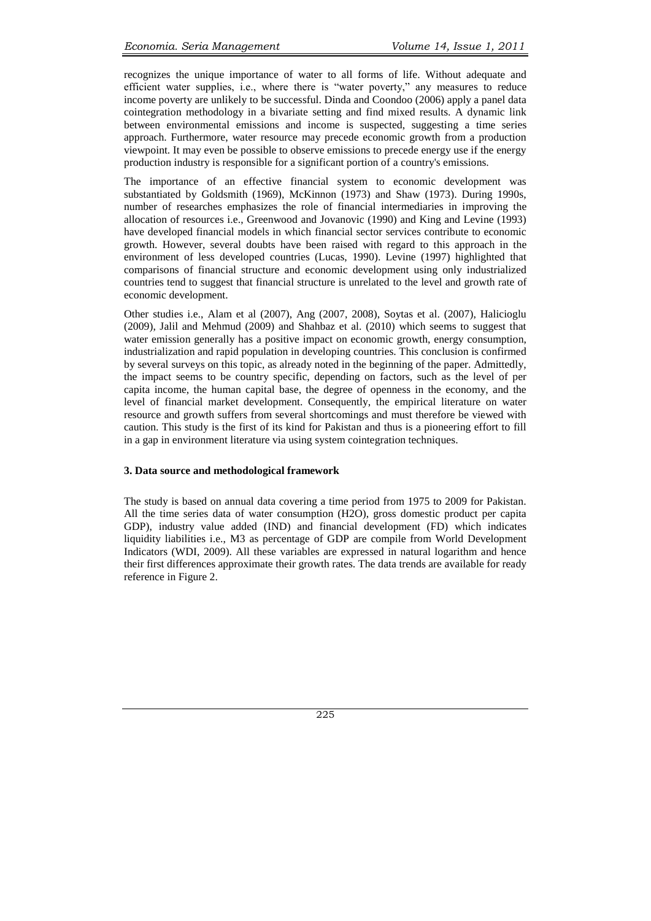recognizes the unique importance of water to all forms of life. Without adequate and efficient water supplies, i.e., where there is "water poverty," any measures to reduce income poverty are unlikely to be successful. Dinda and Coondoo (2006) apply a panel data cointegration methodology in a bivariate setting and find mixed results. A dynamic link between environmental emissions and income is suspected, suggesting a time series approach. Furthermore, water resource may precede economic growth from a production viewpoint. It may even be possible to observe emissions to precede energy use if the energy production industry is responsible for a significant portion of a country's emissions.

The importance of an effective financial system to economic development was substantiated by Goldsmith (1969), McKinnon (1973) and Shaw (1973). During 1990s, number of researches emphasizes the role of financial intermediaries in improving the allocation of resources i.e., Greenwood and Jovanovic (1990) and King and Levine (1993) have developed financial models in which financial sector services contribute to economic growth. However, several doubts have been raised with regard to this approach in the environment of less developed countries (Lucas, 1990). Levine (1997) highlighted that comparisons of financial structure and economic development using only industrialized countries tend to suggest that financial structure is unrelated to the level and growth rate of economic development.

Other studies i.e., Alam et al (2007), Ang (2007, 2008), Soytas et al. (2007), Halicioglu (2009), Jalil and Mehmud (2009) and Shahbaz et al. (2010) which seems to suggest that water emission generally has a positive impact on economic growth, energy consumption, industrialization and rapid population in developing countries. This conclusion is confirmed by several surveys on this topic, as already noted in the beginning of the paper. Admittedly, the impact seems to be country specific, depending on factors, such as the level of per capita income, the human capital base, the degree of openness in the economy, and the level of financial market development. Consequently, the empirical literature on water resource and growth suffers from several shortcomings and must therefore be viewed with caution. This study is the first of its kind for Pakistan and thus is a pioneering effort to fill in a gap in environment literature via using system cointegration techniques.

## **3. Data source and methodological framework**

The study is based on annual data covering a time period from 1975 to 2009 for Pakistan. All the time series data of water consumption (H2O), gross domestic product per capita GDP), industry value added (IND) and financial development (FD) which indicates liquidity liabilities i.e., M3 as percentage of GDP are compile from World Development Indicators (WDI, 2009). All these variables are expressed in natural logarithm and hence their first differences approximate their growth rates. The data trends are available for ready reference in Figure 2.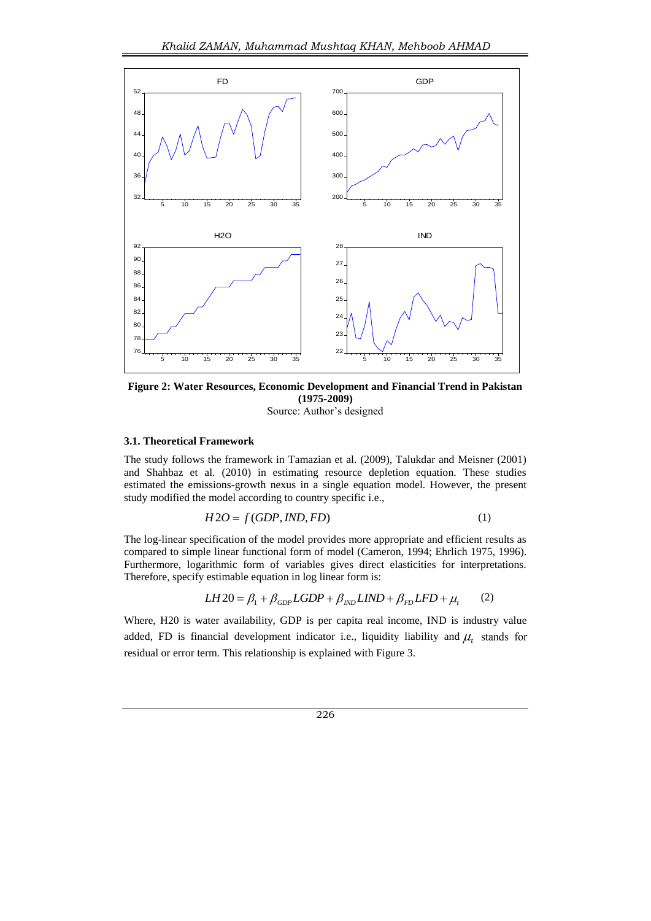

**Figure 2: Water Resources, Economic Development and Financial Trend in Pakistan (1975-2009)** Source: Author"s designed

#### **3.1. Theoretical Framework**

The study follows the framework in Tamazian et al. (2009), Talukdar and Meisner (2001) and Shahbaz et al. (2010) in estimating resource depletion equation. These studies estimated the emissions-growth nexus in a single equation model. However, the present study modified the model according to country specific i.e.,

$$
H2O = f(GDP, IND, FD)
$$
 (1)

The log-linear specification of the model provides more appropriate and efficient results as compared to simple linear functional form of model (Cameron, 1994; Ehrlich 1975, 1996). Furthermore, logarithmic form of variables gives direct elasticities for interpretations. Therefore, specify estimable equation in log linear form is:

$$
LH20 = \beta_1 + \beta_{GDP} LGDP + \beta_{IND} LIND + \beta_{FD} LFD + \mu_t \qquad (2)
$$

Where, H20 is water availability, GDP is per capita real income, IND is industry value added, FD is financial development indicator i.e., liquidity liability and  $\mu_{\scriptscriptstyle f}$ residual or error term. This relationship is explained with Figure 3.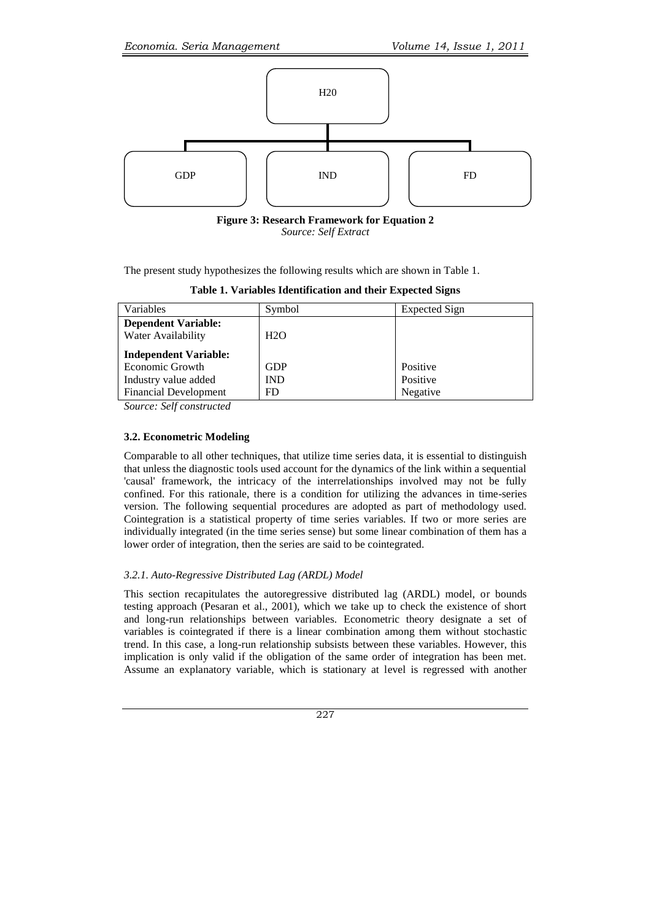

**Figure 3: Research Framework for Equation 2** *Source: Self Extract*

The present study hypothesizes the following results which are shown in Table 1.

**Table 1. Variables Identification and their Expected Signs**

| Variables                                        | Symbol     | <b>Expected Sign</b> |
|--------------------------------------------------|------------|----------------------|
| <b>Dependent Variable:</b><br>Water Availability | H2O        |                      |
| <b>Independent Variable:</b>                     |            |                      |
| Economic Growth                                  | <b>GDP</b> | Positive             |
| Industry value added                             | <b>IND</b> | Positive             |
| <b>Financial Development</b>                     | FD.        | Negative             |

*Source: Self constructed*

## **3.2. Econometric Modeling**

Comparable to all other techniques, that utilize time series data, it is essential to distinguish that unless the diagnostic tools used account for the dynamics of the link within a sequential 'causal' framework, the intricacy of the interrelationships involved may not be fully confined. For this rationale, there is a condition for utilizing the advances in time-series version. The following sequential procedures are adopted as part of methodology used. Cointegration is a statistical property of time series variables. If two or more series are individually integrated (in the time series sense) but some linear combination of them has a lower order of integration, then the series are said to be cointegrated.

## *3.2.1. Auto-Regressive Distributed Lag (ARDL) Model*

This section recapitulates the autoregressive distributed lag (ARDL) model, or bounds testing approach (Pesaran et al., 2001), which we take up to check the existence of short and long-run relationships between variables. Econometric theory designate a set of variables is cointegrated if there is a linear combination among them without stochastic trend. In this case, a long-run relationship subsists between these variables. However, this implication is only valid if the obligation of the same order of integration has been met. Assume an explanatory variable, which is stationary at level is regressed with another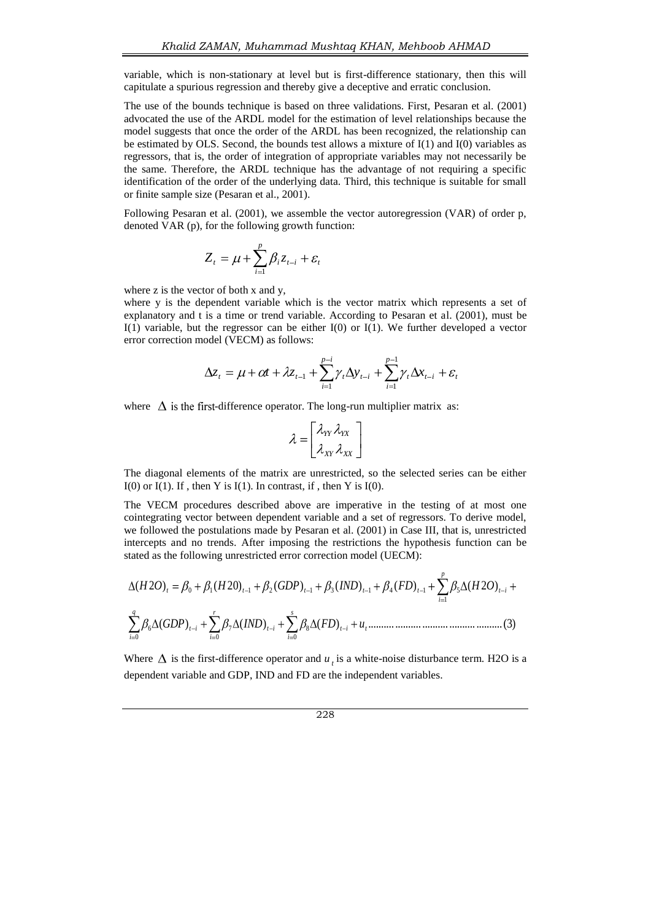variable, which is non-stationary at level but is first-difference stationary, then this will capitulate a spurious regression and thereby give a deceptive and erratic conclusion.

The use of the bounds technique is based on three validations. First, Pesaran et al. (2001) advocated the use of the ARDL model for the estimation of level relationships because the model suggests that once the order of the ARDL has been recognized, the relationship can be estimated by OLS. Second, the bounds test allows a mixture of  $I(1)$  and  $I(0)$  variables as regressors, that is, the order of integration of appropriate variables may not necessarily be the same. Therefore, the ARDL technique has the advantage of not requiring a specific identification of the order of the underlying data. Third, this technique is suitable for small or finite sample size (Pesaran et al., 2001).

Following Pesaran et al. (2001), we assemble the vector autoregression (VAR) of order p, denoted VAR (p), for the following growth function:

$$
Z_t = \mu + \sum_{i=1}^p \beta_i z_{t-i} + \varepsilon_t
$$

where z is the vector of both x and y,

where y is the dependent variable which is the vector matrix which represents a set of explanatory and t is a time or trend variable. According to Pesaran et al. (2001), must be I(1) variable, but the regressor can be either I(0) or I(1). We further developed a vector error correction model (VECM) as follows:

$$
\Delta z_t = \mu + \alpha t + \lambda z_{t-1} + \sum_{i=1}^{p-i} \gamma_t \Delta y_{t-i} + \sum_{i=1}^{p-1} \gamma_t \Delta x_{t-i} + \varepsilon_t
$$

where  $\Delta$  is the first-difference operator. The long-run multiplier matrix as:

$$
\lambda = \begin{bmatrix} \lambda_{YY} \lambda_{YX} \\ \lambda_{XY} \lambda_{XX} \end{bmatrix}
$$

The diagonal elements of the matrix are unrestricted, so the selected series can be either  $I(0)$  or  $I(1)$ . If, then Y is  $I(1)$ . In contrast, if, then Y is  $I(0)$ .

The VECM procedures described above are imperative in the testing of at most one cointegrating vector between dependent variable and a set of regressors. To derive model, we followed the postulations made by Pesaran et al. (2001) in Case III, that is, unrestricted stated as the following unrestricted error correction model (UECM):

intercepts and no trends. After imposing the restrictions the hypothesis function can be  
stated as the following unrestricted error correction model (UECM):  

$$
\Delta(H2O)_t = \beta_0 + \beta_1(H2O)_{t-1} + \beta_2(GDP)_{t-1} + \beta_3(IND)_{t-1} + \beta_4(FD)_{t-1} + \sum_{i=1}^p \beta_5 \Delta(H2O)_{t-i} + \sum_{i=0}^q \beta_6 \Delta(GDP)_{t-i} + \sum_{i=0}^r \beta_7 \Delta(IND)_{t-i} + \sum_{i=0}^s \beta_8 \Delta(FD)_{t-i} + u_t
$$
................. (3)

Where  $\Delta$  is the first-difference operator and  $u_t$  is a white-noise disturbance term. H2O is a dependent variable and GDP, IND and FD are the independent variables.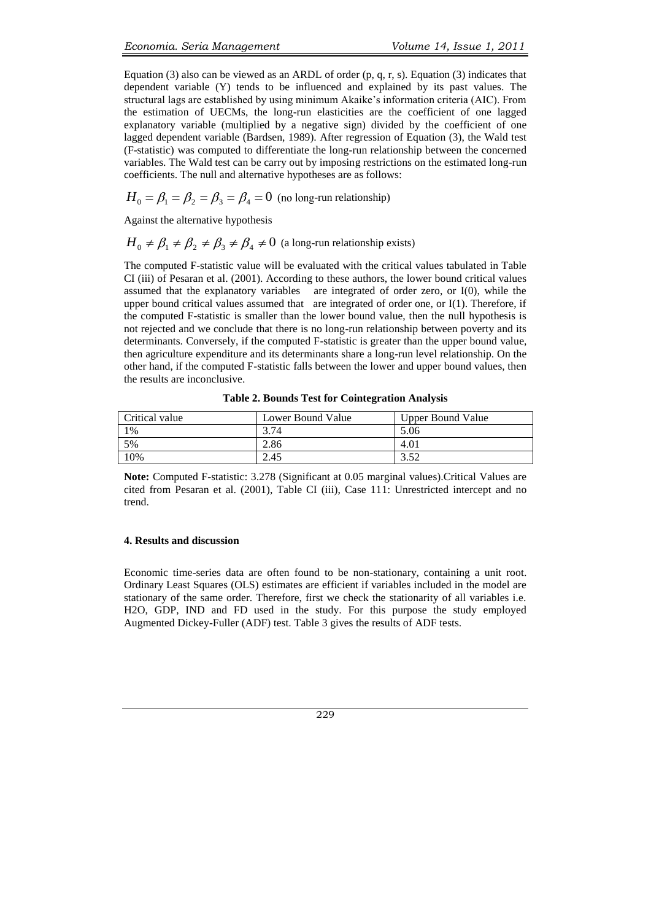Equation (3) also can be viewed as an ARDL of order (p, q, r, s). Equation (3) indicates that dependent variable (Y) tends to be influenced and explained by its past values. The structural lags are established by using minimum Akaike"s information criteria (AIC). From the estimation of UECMs, the long-run elasticities are the coefficient of one lagged explanatory variable (multiplied by a negative sign) divided by the coefficient of one lagged dependent variable (Bardsen, 1989). After regression of Equation (3), the Wald test (F-statistic) was computed to differentiate the long-run relationship between the concerned variables. The Wald test can be carry out by imposing restrictions on the estimated long-run coefficients. The null and alternative hypotheses are as follows:

$$
H_0 = \beta_1 = \beta_2 = \beta_3 = \beta_4 = 0
$$
 (no long-run relationship)

Against the alternative hypothesis

$$
H_0 \neq \beta_1 \neq \beta_2 \neq \beta_3 \neq \beta_4 \neq 0
$$
 (a long-run relationship exists)

The computed F-statistic value will be evaluated with the critical values tabulated in Table CI (iii) of Pesaran et al. (2001). According to these authors, the lower bound critical values assumed that the explanatory variables are integrated of order zero, or I(0), while the upper bound critical values assumed that are integrated of order one, or I(1). Therefore, if the computed F-statistic is smaller than the lower bound value, then the null hypothesis is not rejected and we conclude that there is no long-run relationship between poverty and its determinants. Conversely, if the computed F-statistic is greater than the upper bound value, then agriculture expenditure and its determinants share a long-run level relationship. On the other hand, if the computed F-statistic falls between the lower and upper bound values, then the results are inconclusive.

| Critical value | Lower Bound Value | <b>Upper Bound Value</b> |
|----------------|-------------------|--------------------------|
| 1%             | 3.74              | 5.06                     |
| 5%             | 2.86              | 4.01                     |
| 10%            | 2.45              |                          |

**Table 2. Bounds Test for Cointegration Analysis**

**Note:** Computed F-statistic: 3.278 (Significant at 0.05 marginal values).Critical Values are cited from Pesaran et al. (2001), Table CI (iii), Case 111: Unrestricted intercept and no trend.

#### **4. Results and discussion**

Economic time-series data are often found to be non-stationary, containing a unit root. Ordinary Least Squares (OLS) estimates are efficient if variables included in the model are stationary of the same order. Therefore, first we check the stationarity of all variables i.e. H2O, GDP, IND and FD used in the study. For this purpose the study employed Augmented Dickey-Fuller (ADF) test. Table 3 gives the results of ADF tests.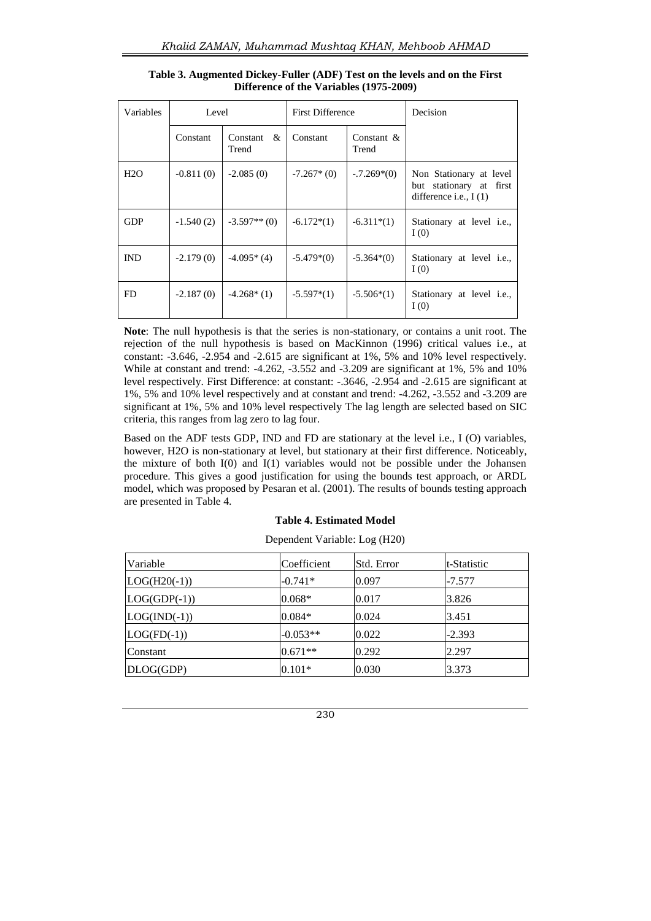| Variables  | Level       |                        | <b>First Difference</b> |                        | Decision                                                                      |
|------------|-------------|------------------------|-------------------------|------------------------|-------------------------------------------------------------------------------|
|            | Constant    | Constant $\&$<br>Trend | Constant                | Constant $\&$<br>Trend |                                                                               |
| H2O        | $-0.811(0)$ | $-2.085(0)$            | $-7.267*(0)$            | $-.7.269*(0)$          | Non Stationary at level<br>but stationary at first<br>difference i.e., $I(1)$ |
| <b>GDP</b> | $-1.540(2)$ | $-3.597**$ (0)         | $-6.172*(1)$            | $-6.311*(1)$           | Stationary at level <i>i.e.</i> ,<br>I(0)                                     |
| <b>IND</b> | $-2.179(0)$ | $-4.095*(4)$           | $-5.479*(0)$            | $-5.364*(0)$           | Stationary at level <i>i.e.</i> ,<br>I(0)                                     |
| FD.        | $-2.187(0)$ | $-4.268*(1)$           | $-5.597*(1)$            | $-5.506*(1)$           | Stationary at level <i>i.e.</i> ,<br>I(0)                                     |

**Table 3. Augmented Dickey-Fuller (ADF) Test on the levels and on the First Difference of the Variables (1975-2009)**

**Note**: The null hypothesis is that the series is non-stationary, or contains a unit root. The rejection of the null hypothesis is based on MacKinnon (1996) critical values i.e., at constant: -3.646, -2.954 and -2.615 are significant at 1%, 5% and 10% level respectively. While at constant and trend: -4.262, -3.552 and -3.209 are significant at 1%, 5% and 10% level respectively. First Difference: at constant: -.3646, -2.954 and -2.615 are significant at 1%, 5% and 10% level respectively and at constant and trend: -4.262, -3.552 and -3.209 are significant at 1%, 5% and 10% level respectively The lag length are selected based on SIC criteria, this ranges from lag zero to lag four.

Based on the ADF tests GDP, IND and FD are stationary at the level i.e., I (O) variables, however, H2O is non-stationary at level, but stationary at their first difference. Noticeably, the mixture of both I(0) and I(1) variables would not be possible under the Johansen procedure. This gives a good justification for using the bounds test approach, or ARDL model, which was proposed by Pesaran et al. (2001). The results of bounds testing approach are presented in Table 4.

## **Table 4. Estimated Model**

| Variable       | Coefficient | Std. Error | t-Statistic |
|----------------|-------------|------------|-------------|
| $LOG(H20(-1))$ | $-0.741*$   | 0.097      | $-7.577$    |
| $LOG(GDP(-1))$ | $0.068*$    | 0.017      | 3.826       |
| $LOG(IND(-1))$ | $0.084*$    | 0.024      | 3.451       |
| $LOG(FD(-1))$  | $-0.053**$  | 0.022      | $-2.393$    |
| Constant       | $0.671**$   | 0.292      | 2.297       |
| DLOG(GDP)      | $0.101*$    | 0.030      | 3.373       |

Dependent Variable: Log (H20)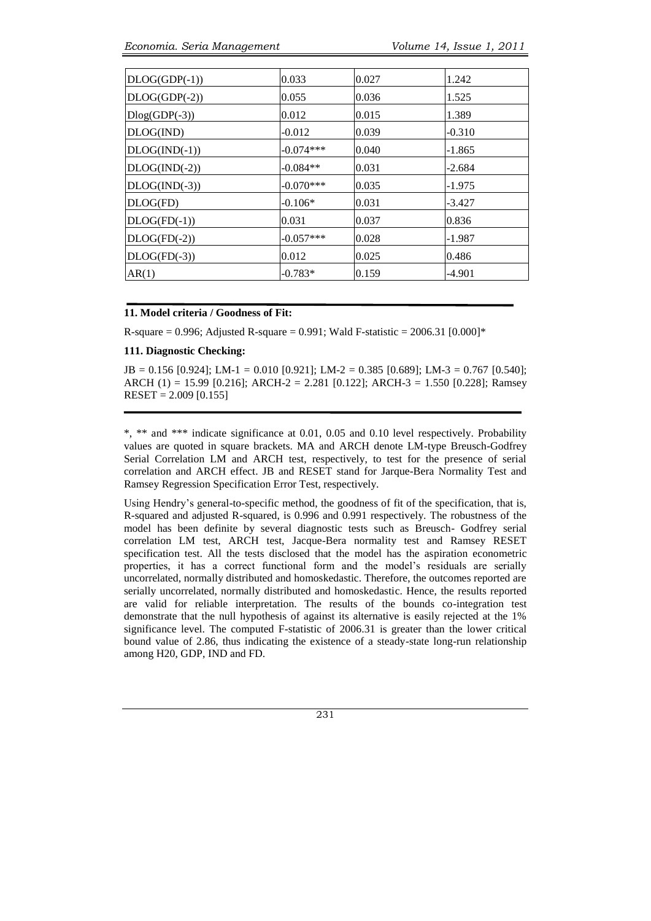| 0.033       | 0.027 | 1.242    |
|-------------|-------|----------|
| 0.055       | 0.036 | 1.525    |
| 0.012       | 0.015 | 1.389    |
| $-0.012$    | 0.039 | $-0.310$ |
| $-0.074***$ | 0.040 | $-1.865$ |
| $-0.084**$  | 0.031 | $-2.684$ |
| $-0.070***$ | 0.035 | $-1.975$ |
| $-0.106*$   | 0.031 | $-3.427$ |
| 0.031       | 0.037 | 0.836    |
| $-0.057***$ | 0.028 | $-1.987$ |
| 0.012       | 0.025 | 0.486    |
| $-0.783*$   | 0.159 | $-4.901$ |
|             |       |          |

#### **11. Model criteria / Goodness of Fit:**

R-square = 0.996; Adjusted R-square = 0.991; Wald F-statistic =  $2006.31$  [0.000]\*

## **111. Diagnostic Checking:**

JB = 0.156 [0.924]; LM-1 = 0.010 [0.921]; LM-2 = 0.385 [0.689]; LM-3 = 0.767 [0.540]; ARCH (1) = 15.99 [0.216]; ARCH-2 = 2.281 [0.122]; ARCH-3 = 1.550 [0.228]; Ramsey  $REST = 2.009 [0.155]$ 

\*, \*\* and \*\*\* indicate significance at 0.01, 0.05 and 0.10 level respectively. Probability values are quoted in square brackets. MA and ARCH denote LM-type Breusch-Godfrey Serial Correlation LM and ARCH test, respectively, to test for the presence of serial correlation and ARCH effect. JB and RESET stand for Jarque-Bera Normality Test and Ramsey Regression Specification Error Test, respectively.

Using Hendry"s general-to-specific method, the goodness of fit of the specification, that is, R-squared and adjusted R-squared, is 0.996 and 0.991 respectively. The robustness of the model has been definite by several diagnostic tests such as Breusch- Godfrey serial correlation LM test, ARCH test, Jacque-Bera normality test and Ramsey RESET specification test. All the tests disclosed that the model has the aspiration econometric properties, it has a correct functional form and the model"s residuals are serially uncorrelated, normally distributed and homoskedastic. Therefore, the outcomes reported are serially uncorrelated, normally distributed and homoskedastic. Hence, the results reported are valid for reliable interpretation. The results of the bounds co-integration test demonstrate that the null hypothesis of against its alternative is easily rejected at the 1% significance level. The computed F-statistic of 2006.31 is greater than the lower critical bound value of 2.86, thus indicating the existence of a steady-state long-run relationship among H20, GDP, IND and FD.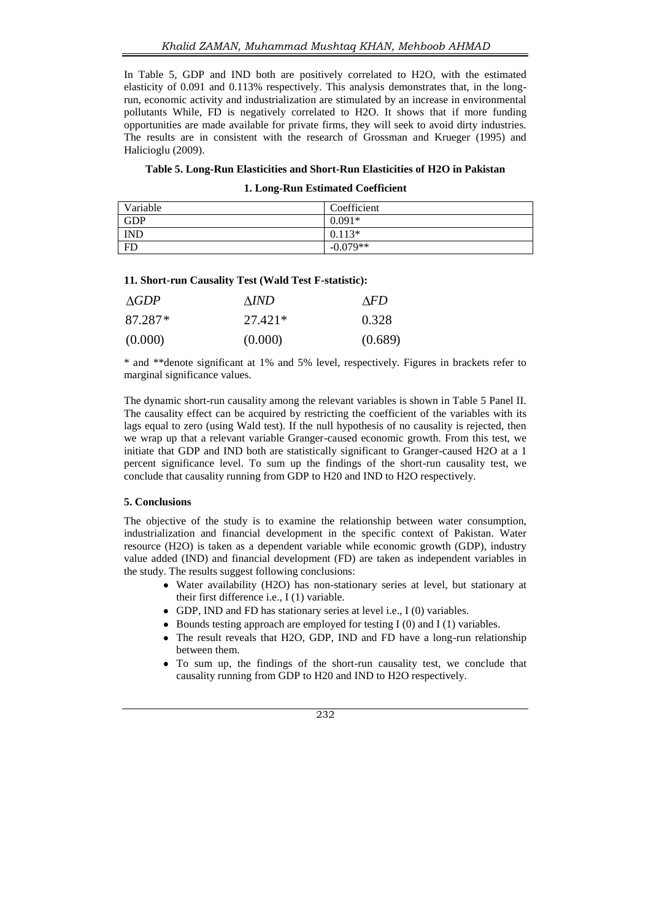In Table 5, GDP and IND both are positively correlated to H2O, with the estimated elasticity of 0.091 and 0.113% respectively. This analysis demonstrates that, in the longrun, economic activity and industrialization are stimulated by an increase in environmental pollutants While, FD is negatively correlated to H2O. It shows that if more funding opportunities are made available for private firms, they will seek to avoid dirty industries. The results are in consistent with the research of Grossman and Krueger (1995) and Halicioglu (2009).

### **Table 5. Long-Run Elasticities and Short-Run Elasticities of H2O in Pakistan**

#### **1. Long-Run Estimated Coefficient**

| Variable   | Coefficient |
|------------|-------------|
| <b>GDP</b> | $0.091*$    |
| <b>IND</b> | $0.113*$    |
| <b>FD</b>  | $-0.079**$  |

### **11. Short-run Causality Test (Wald Test F-statistic):**

| AGDP    | AIND.     | AFD.    |
|---------|-----------|---------|
| 87.287* | $27.421*$ | 0.328   |
| (0.000) | (0.000)   | (0.689) |

\* and \*\*denote significant at 1% and 5% level, respectively. Figures in brackets refer to marginal significance values.

The dynamic short-run causality among the relevant variables is shown in Table 5 Panel II. The causality effect can be acquired by restricting the coefficient of the variables with its lags equal to zero (using Wald test). If the null hypothesis of no causality is rejected, then we wrap up that a relevant variable Granger-caused economic growth. From this test, we initiate that GDP and IND both are statistically significant to Granger-caused H2O at a 1 percent significance level. To sum up the findings of the short-run causality test, we conclude that causality running from GDP to H20 and IND to H2O respectively.

#### **5. Conclusions**

The objective of the study is to examine the relationship between water consumption, industrialization and financial development in the specific context of Pakistan. Water resource (H2O) is taken as a dependent variable while economic growth (GDP), industry value added (IND) and financial development (FD) are taken as independent variables in the study. The results suggest following conclusions:

- Water availability (H2O) has non-stationary series at level, but stationary at their first difference i.e., I (1) variable.
- GDP, IND and FD has stationary series at level i.e., I (0) variables.
- $\bullet$  Bounds testing approach are employed for testing I (0) and I (1) variables.
- The result reveals that H2O, GDP, IND and FD have a long-run relationship between them.
- To sum up, the findings of the short-run causality test, we conclude that causality running from GDP to H20 and IND to H2O respectively.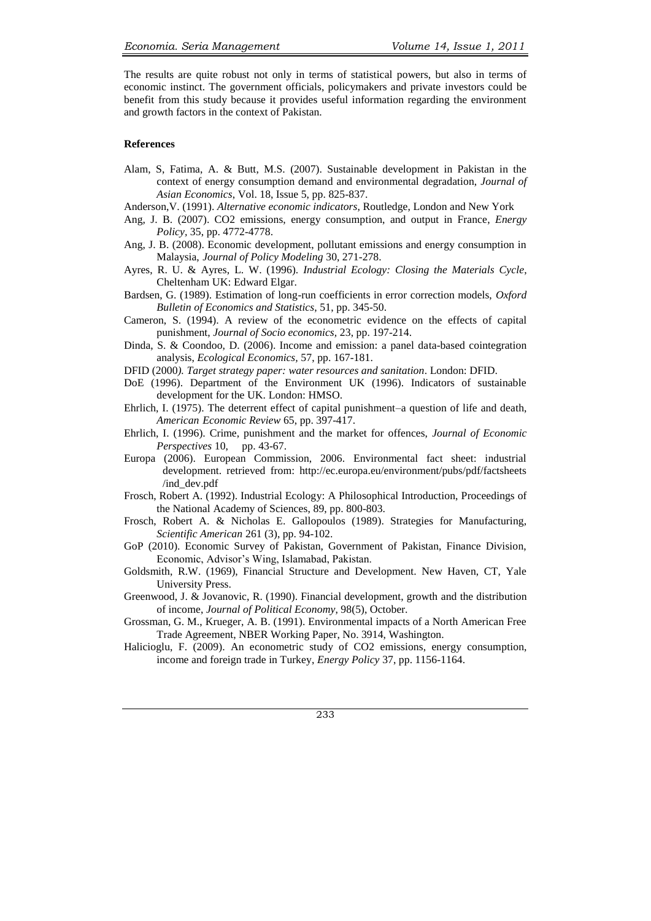The results are quite robust not only in terms of statistical powers, but also in terms of economic instinct. The government officials, policymakers and private investors could be benefit from this study because it provides useful information regarding the environment and growth factors in the context of Pakistan.

#### **References**

- Alam, S, Fatima, A. & Butt, M.S. (2007). Sustainable development in Pakistan in the context of energy consumption demand and environmental degradation, *Journal of Asian Economics*, Vol. 18, Issue 5, pp. 825-837.
- Anderson,V. (1991). *Alternative economic indicators*, Routledge, London and New York
- Ang, J. B. (2007). CO2 emissions, energy consumption, and output in France, *Energy Policy,* 35, pp. 4772-4778.
- Ang, J. B. (2008). Economic development, pollutant emissions and energy consumption in Malaysia, *Journal of Policy Modeling* 30, 271-278.
- Ayres, R. U. & Ayres, L. W. (1996). *Industrial Ecology: Closing the Materials Cycle*, Cheltenham UK: Edward Elgar.
- Bardsen, G. (1989). Estimation of long-run coefficients in error correction models, *Oxford Bulletin of Economics and Statistics*, 51, pp. 345-50.
- Cameron, S. (1994). A review of the econometric evidence on the effects of capital punishment, *Journal of Socio economics,* 23, pp. 197-214.
- Dinda, S. & Coondoo, D. (2006). Income and emission: a panel data-based cointegration analysis, *Ecological Economics,* 57, pp. 167-181.
- DFID (2000*). Target strategy paper: water resources and sanitation*. London: DFID.
- DoE (1996). Department of the Environment UK (1996). Indicators of sustainable development for the UK. London: HMSO.
- Ehrlich, I. (1975). The deterrent effect of capital punishment–a question of life and death, *American Economic Review* 65, pp. 397-417.
- Ehrlich, I. (1996). Crime, punishment and the market for offences, *Journal of Economic Perspectives* 10, pp. 43-67.
- Europa (2006). European Commission, 2006. Environmental fact sheet: industrial development. retrieved from: [http://ec.europa.eu/environment/pubs/pdf/factsheets](http://ec.europa.eu/environment/pubs/pdf/factsheets/ind_dev.pdf) [/ind\\_dev.pdf](http://ec.europa.eu/environment/pubs/pdf/factsheets/ind_dev.pdf)
- Frosch, Robert A. (1992). Industrial Ecology: A Philosophical Introduction, Proceedings of the National Academy of Sciences, 89, pp. 800-803.
- Frosch, Robert A. & Nicholas E. Gallopoulos (1989). Strategies for Manufacturing, *Scientific American* 261 (3), pp. 94-102.
- GoP (2010). Economic Survey of Pakistan, Government of Pakistan, Finance Division, Economic, Advisor"s Wing, Islamabad, Pakistan.
- Goldsmith, R.W. (1969), Financial Structure and Development. New Haven, CT, Yale University Press.
- Greenwood, J. & Jovanovic, R. (1990). Financial development, growth and the distribution of income, *Journal of Political Economy*, 98(5), October.
- Grossman, G. M., Krueger, A. B. (1991). Environmental impacts of a North American Free Trade Agreement, NBER Working Paper, No. 3914, Washington.
- Halicioglu, F. (2009). An econometric study of CO2 emissions, energy consumption, income and foreign trade in Turkey, *Energy Policy* 37, pp. 1156-1164.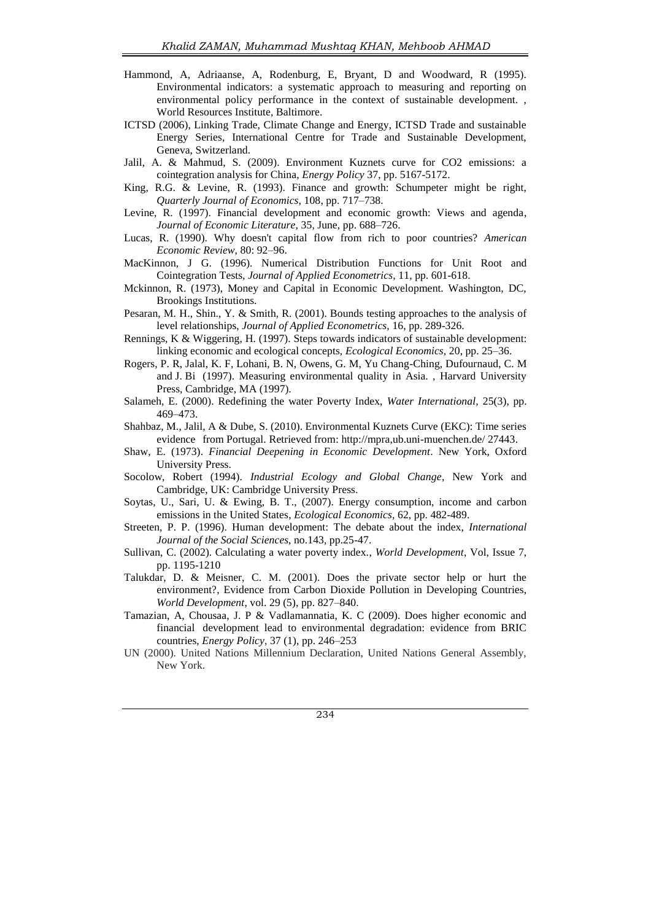- Hammond, A, Adriaanse, A, Rodenburg, E, Bryant, D and Woodward, R (1995). Environmental indicators: a systematic approach to measuring and reporting on environmental policy performance in the context of sustainable development. , World Resources Institute, Baltimore.
- ICTSD (2006), Linking Trade, Climate Change and Energy, ICTSD Trade and sustainable Energy Series, International Centre for Trade and Sustainable Development, Geneva, Switzerland.
- Jalil, A. & Mahmud, S. (2009). Environment Kuznets curve for CO2 emissions: a cointegration analysis for China, *Energy Policy* 37, pp. 5167-5172.
- King, R.G. & Levine, R. (1993). Finance and growth: Schumpeter might be right, *Quarterly Journal of Economics*, 108, pp. 717–738.
- Levine, R. (1997). Financial development and economic growth: Views and agenda, *Journal of Economic Literature*, 35, June, pp. 688–726.
- Lucas, R. (1990). Why doesn't capital flow from rich to poor countries? *American Economic Review*, 80: 92–96.
- MacKinnon, J G. (1996). Numerical Distribution Functions for Unit Root and Cointegration Tests, *Journal of Applied Econometrics,* 11, pp. 601-618.
- Mckinnon, R. (1973), Money and Capital in Economic Development. Washington, DC, Brookings Institutions.
- Pesaran, M. H., Shin., Y. & Smith, R. (2001). Bounds testing approaches to the analysis of level relationships, *Journal of Applied Econometrics,* 16, pp. 289-326.
- Rennings, K & Wiggering, H. (1997). Steps towards indicators of sustainable development: linking economic and ecological concepts, *Ecological Economics,* 20, pp. 25–36.
- Rogers, P. R, Jalal, K. F, Lohani, B. N, Owens, G. M, Yu Chang-Ching, Dufournaud, C. M and J. Bi (1997). Measuring environmental quality in Asia. , Harvard University Press, Cambridge, MA (1997).
- Salameh, E. (2000). Redefining the water Poverty Index, *Water International,* 25(3), pp. 469–473.
- Shahbaz, M., Jalil, A & Dube, S. (2010). Environmental Kuznets Curve (EKC): Time series evidence from Portugal. Retrieved from: http://mpra,ub.uni-muenchen.de/ 27443.
- Shaw, E. (1973). *Financial Deepening in Economic Development*. New York, Oxford University Press.
- Socolow, Robert (1994). *Industrial Ecology and Global Change*, New York and Cambridge, UK: Cambridge University Press.
- Soytas, U., Sari, U. & Ewing, B. T., (2007). Energy consumption, income and carbon emissions in the United States, *Ecological Economics,* 62, pp. 482-489.
- Streeten, P. P. (1996). Human development: The debate about the index, *International Journal of the Social Sciences*, no.143, pp.25-47.
- Sullivan, C. (2002). Calculating a water poverty index., *World Development*, Vol, Issue 7, pp. 1195-1210
- Talukdar, D. & Meisner, C. M. (2001). Does the private sector help or hurt the environment?, Evidence from Carbon Dioxide Pollution in Developing Countries, *World Development*, vol. 29 (5), pp. 827–840.
- Tamazian, A, Chousaa, J. P & Vadlamannatia, K. C (2009). Does higher economic and financial development lead to environmental degradation: evidence from BRIC countries, *Energy Policy,* 37 (1), pp. 246–253
- UN (2000). United Nations Millennium Declaration, United Nations General Assembly, New York.